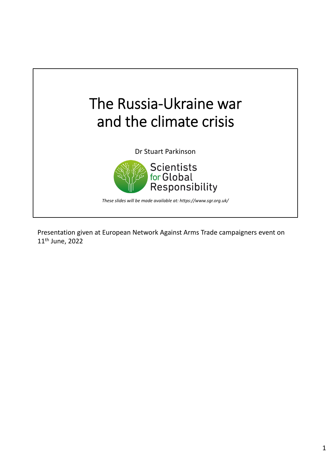

Presentation given at European Network Against Arms Trade campaigners event on 11th June, 2022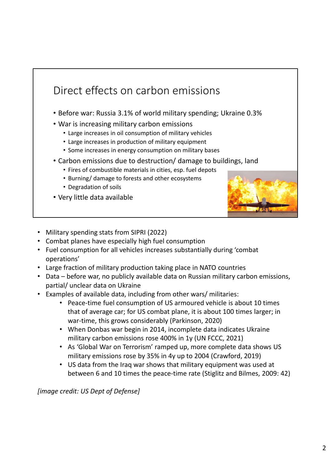

- Military spending stats from SIPRI (2022)
- Combat planes have especially high fuel consumption
- Fuel consumption for all vehicles increases substantially during 'combat operations'
- Large fraction of military production taking place in NATO countries
- Data before war, no publicly available data on Russian military carbon emissions, partial/ unclear data on Ukraine
- Examples of available data, including from other wars/ militaries:
	- Peace-time fuel consumption of US armoured vehicle is about 10 times that of average car; for US combat plane, it is about 100 times larger; in war-time, this grows considerably (Parkinson, 2020)
	- When Donbas war begin in 2014, incomplete data indicates Ukraine military carbon emissions rose 400% in 1y (UN FCCC, 2021)
	- As 'Global War on Terrorism' ramped up, more complete data shows US military emissions rose by 35% in 4y up to 2004 (Crawford, 2019)
	- US data from the Iraq war shows that military equipment was used at between 6 and 10 times the peace-time rate (Stiglitz and Bilmes, 2009: 42)

*[image credit: US Dept of Defense]*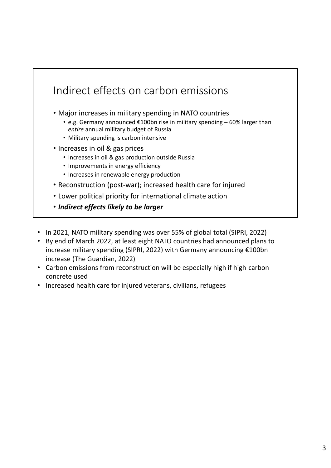

- By end of March 2022, at least eight NATO countries had announced plans to increase military spending (SIPRI, 2022) with Germany announcing €100bn increase (The Guardian, 2022)
- Carbon emissions from reconstruction will be especially high if high-carbon concrete used
- Increased health care for injured veterans, civilians, refugees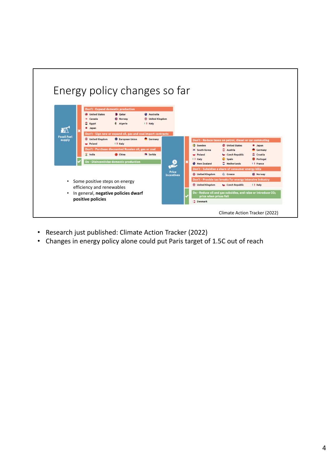

- Research just published: Climate Action Tracker (2022)
- Changes in energy policy alone could put Paris target of 1.5C out of reach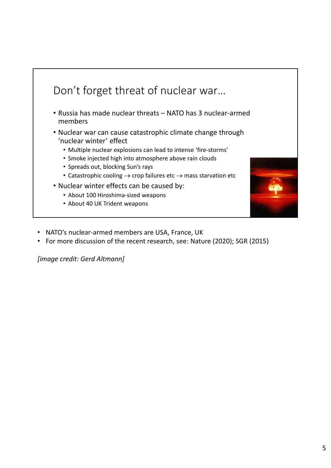

- NATO's nuclear‐armed members are USA, France, UK
- For more discussion of the recent research, see: Nature (2020); SGR (2015)

*[image credit: Gerd Altmann]*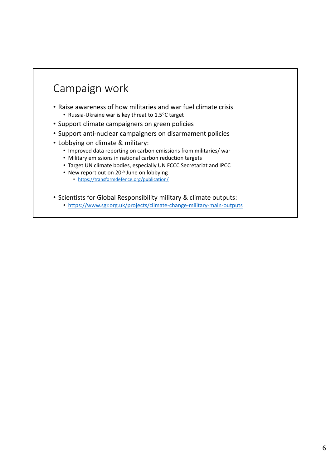## Campaign work

- Raise awareness of how militaries and war fuel climate crisis • Russia-Ukraine war is key threat to 1.5°C target
- Support climate campaigners on green policies
- Support anti‐nuclear campaigners on disarmament policies
- Lobbying on climate & military:
	- Improved data reporting on carbon emissions from militaries/ war
	- Military emissions in national carbon reduction targets
	- Target UN climate bodies, especially UN FCCC Secretariat and IPCC
	- New report out on 20<sup>th</sup> June on lobbying
		- https://transformdefence.org/publication/
- Scientists for Global Responsibility military & climate outputs:
	- https://www.sgr.org.uk/projects/climate-change-military-main-outputs